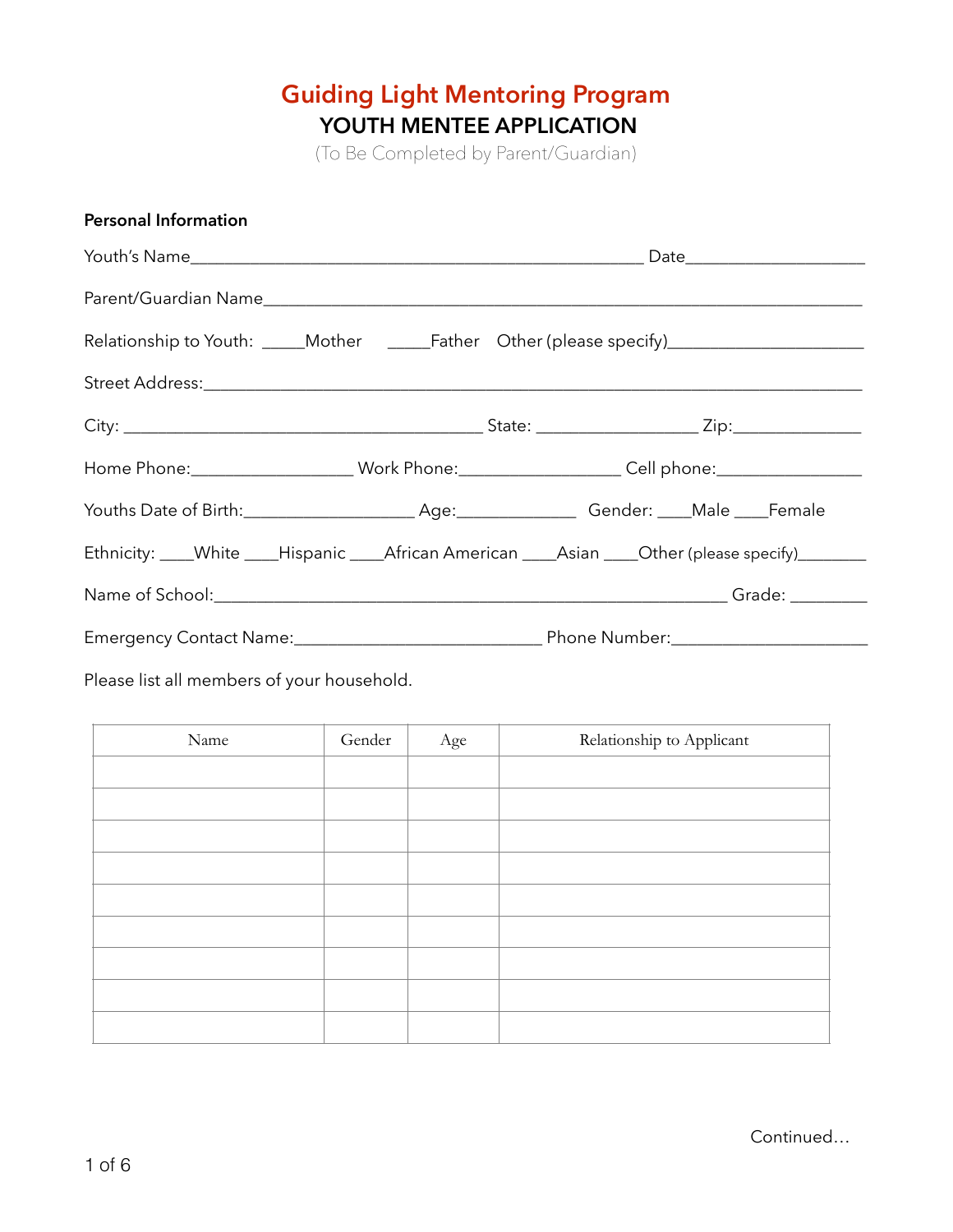# **Guiding Light Mentoring Program YOUTH MENTEE APPLICATION**

(To Be Completed by Parent/Guardian)

| <b>Personal Information</b>                                                                         |  |  |  |  |  |
|-----------------------------------------------------------------------------------------------------|--|--|--|--|--|
|                                                                                                     |  |  |  |  |  |
|                                                                                                     |  |  |  |  |  |
| Relationship to Youth: _____Mother ______Father Other (please specify)_________________             |  |  |  |  |  |
|                                                                                                     |  |  |  |  |  |
|                                                                                                     |  |  |  |  |  |
| Home Phone:______________________Work Phone:____________________Cell phone:________________________ |  |  |  |  |  |
|                                                                                                     |  |  |  |  |  |
| Ethnicity: ____White ____Hispanic ____African American ____Asian ____Other (please specify)________ |  |  |  |  |  |
|                                                                                                     |  |  |  |  |  |
|                                                                                                     |  |  |  |  |  |

Please list all members of your household.

| Name | Gender | Age | Relationship to Applicant |
|------|--------|-----|---------------------------|
|      |        |     |                           |
|      |        |     |                           |
|      |        |     |                           |
|      |        |     |                           |
|      |        |     |                           |
|      |        |     |                           |
|      |        |     |                           |
|      |        |     |                           |
|      |        |     |                           |

Continued…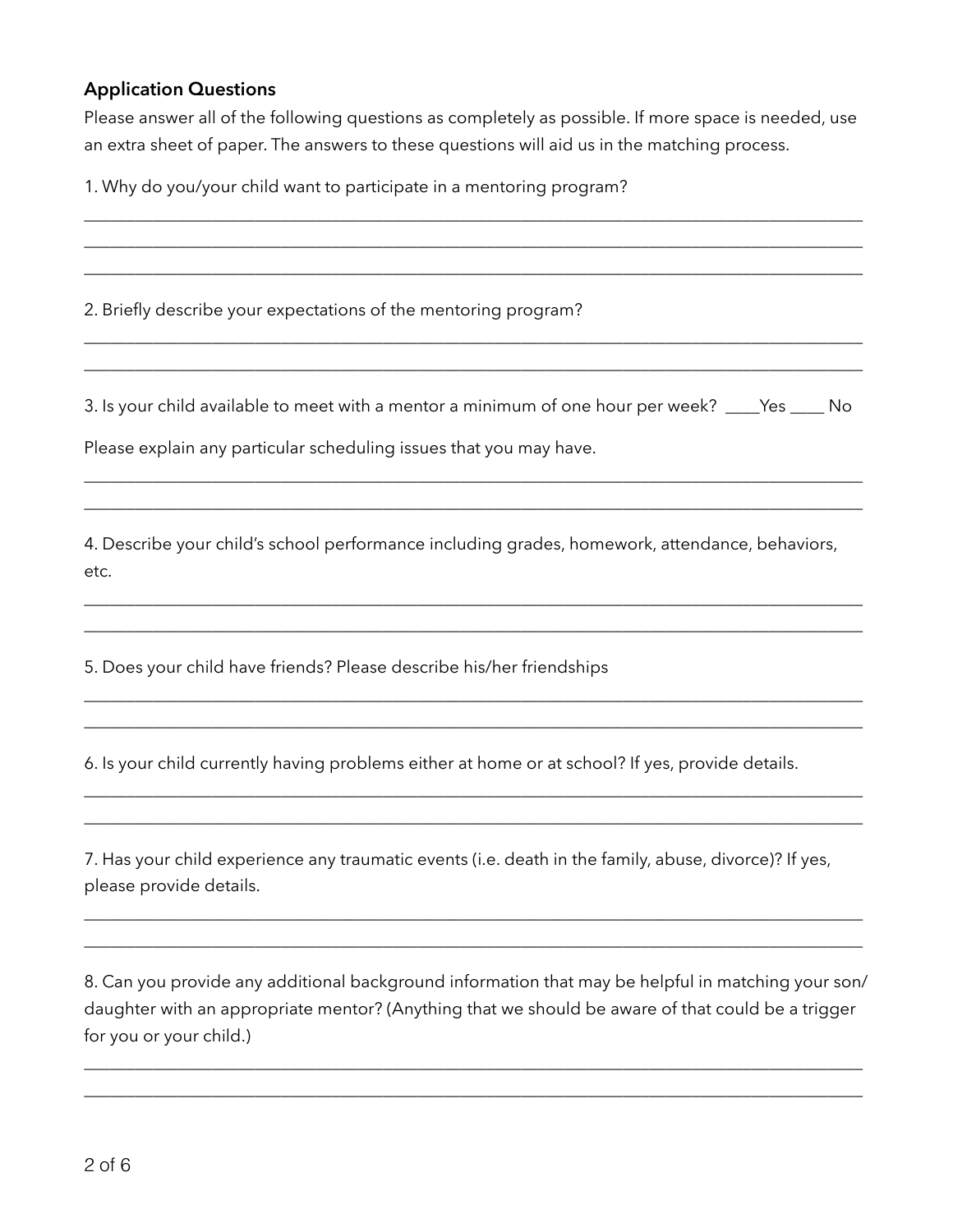#### **Application Questions**

Please answer all of the following questions as completely as possible. If more space is needed, use an extra sheet of paper. The answers to these questions will aid us in the matching process.

\_\_\_\_\_\_\_\_\_\_\_\_\_\_\_\_\_\_\_\_\_\_\_\_\_\_\_\_\_\_\_\_\_\_\_\_\_\_\_\_\_\_\_\_\_\_\_\_\_\_\_\_\_\_\_\_\_\_\_\_\_\_\_\_\_\_\_\_\_\_\_\_\_\_\_\_\_\_\_\_\_\_\_\_\_\_\_\_\_\_\_ \_\_\_\_\_\_\_\_\_\_\_\_\_\_\_\_\_\_\_\_\_\_\_\_\_\_\_\_\_\_\_\_\_\_\_\_\_\_\_\_\_\_\_\_\_\_\_\_\_\_\_\_\_\_\_\_\_\_\_\_\_\_\_\_\_\_\_\_\_\_\_\_\_\_\_\_\_\_\_\_\_\_\_\_\_\_\_\_\_\_\_ \_\_\_\_\_\_\_\_\_\_\_\_\_\_\_\_\_\_\_\_\_\_\_\_\_\_\_\_\_\_\_\_\_\_\_\_\_\_\_\_\_\_\_\_\_\_\_\_\_\_\_\_\_\_\_\_\_\_\_\_\_\_\_\_\_\_\_\_\_\_\_\_\_\_\_\_\_\_\_\_\_\_\_\_\_\_\_\_\_\_\_

1. Why do you/your child want to participate in a mentoring program?

2. Briefly describe your expectations of the mentoring program?

3. Is your child available to meet with a mentor a minimum of one hour per week? \_\_\_\_Yes \_\_\_\_ No

\_\_\_\_\_\_\_\_\_\_\_\_\_\_\_\_\_\_\_\_\_\_\_\_\_\_\_\_\_\_\_\_\_\_\_\_\_\_\_\_\_\_\_\_\_\_\_\_\_\_\_\_\_\_\_\_\_\_\_\_\_\_\_\_\_\_\_\_\_\_\_\_\_\_\_\_\_\_\_\_\_\_\_\_\_\_\_\_\_\_\_ \_\_\_\_\_\_\_\_\_\_\_\_\_\_\_\_\_\_\_\_\_\_\_\_\_\_\_\_\_\_\_\_\_\_\_\_\_\_\_\_\_\_\_\_\_\_\_\_\_\_\_\_\_\_\_\_\_\_\_\_\_\_\_\_\_\_\_\_\_\_\_\_\_\_\_\_\_\_\_\_\_\_\_\_\_\_\_\_\_\_\_

\_\_\_\_\_\_\_\_\_\_\_\_\_\_\_\_\_\_\_\_\_\_\_\_\_\_\_\_\_\_\_\_\_\_\_\_\_\_\_\_\_\_\_\_\_\_\_\_\_\_\_\_\_\_\_\_\_\_\_\_\_\_\_\_\_\_\_\_\_\_\_\_\_\_\_\_\_\_\_\_\_\_\_\_\_\_\_\_\_\_\_ \_\_\_\_\_\_\_\_\_\_\_\_\_\_\_\_\_\_\_\_\_\_\_\_\_\_\_\_\_\_\_\_\_\_\_\_\_\_\_\_\_\_\_\_\_\_\_\_\_\_\_\_\_\_\_\_\_\_\_\_\_\_\_\_\_\_\_\_\_\_\_\_\_\_\_\_\_\_\_\_\_\_\_\_\_\_\_\_\_\_\_

Please explain any particular scheduling issues that you may have.

4. Describe your child's school performance including grades, homework, attendance, behaviors, etc.

\_\_\_\_\_\_\_\_\_\_\_\_\_\_\_\_\_\_\_\_\_\_\_\_\_\_\_\_\_\_\_\_\_\_\_\_\_\_\_\_\_\_\_\_\_\_\_\_\_\_\_\_\_\_\_\_\_\_\_\_\_\_\_\_\_\_\_\_\_\_\_\_\_\_\_\_\_\_\_\_\_\_\_\_\_\_\_\_\_\_\_ \_\_\_\_\_\_\_\_\_\_\_\_\_\_\_\_\_\_\_\_\_\_\_\_\_\_\_\_\_\_\_\_\_\_\_\_\_\_\_\_\_\_\_\_\_\_\_\_\_\_\_\_\_\_\_\_\_\_\_\_\_\_\_\_\_\_\_\_\_\_\_\_\_\_\_\_\_\_\_\_\_\_\_\_\_\_\_\_\_\_\_

\_\_\_\_\_\_\_\_\_\_\_\_\_\_\_\_\_\_\_\_\_\_\_\_\_\_\_\_\_\_\_\_\_\_\_\_\_\_\_\_\_\_\_\_\_\_\_\_\_\_\_\_\_\_\_\_\_\_\_\_\_\_\_\_\_\_\_\_\_\_\_\_\_\_\_\_\_\_\_\_\_\_\_\_\_\_\_\_\_\_\_ \_\_\_\_\_\_\_\_\_\_\_\_\_\_\_\_\_\_\_\_\_\_\_\_\_\_\_\_\_\_\_\_\_\_\_\_\_\_\_\_\_\_\_\_\_\_\_\_\_\_\_\_\_\_\_\_\_\_\_\_\_\_\_\_\_\_\_\_\_\_\_\_\_\_\_\_\_\_\_\_\_\_\_\_\_\_\_\_\_\_\_

\_\_\_\_\_\_\_\_\_\_\_\_\_\_\_\_\_\_\_\_\_\_\_\_\_\_\_\_\_\_\_\_\_\_\_\_\_\_\_\_\_\_\_\_\_\_\_\_\_\_\_\_\_\_\_\_\_\_\_\_\_\_\_\_\_\_\_\_\_\_\_\_\_\_\_\_\_\_\_\_\_\_\_\_\_\_\_\_\_\_\_ \_\_\_\_\_\_\_\_\_\_\_\_\_\_\_\_\_\_\_\_\_\_\_\_\_\_\_\_\_\_\_\_\_\_\_\_\_\_\_\_\_\_\_\_\_\_\_\_\_\_\_\_\_\_\_\_\_\_\_\_\_\_\_\_\_\_\_\_\_\_\_\_\_\_\_\_\_\_\_\_\_\_\_\_\_\_\_\_\_\_\_

5. Does your child have friends? Please describe his/her friendships

6. Is your child currently having problems either at home or at school? If yes, provide details.

7. Has your child experience any traumatic events (i.e. death in the family, abuse, divorce)? If yes, please provide details.

8. Can you provide any additional background information that may be helpful in matching your son/ daughter with an appropriate mentor? (Anything that we should be aware of that could be a trigger for you or your child.)

\_\_\_\_\_\_\_\_\_\_\_\_\_\_\_\_\_\_\_\_\_\_\_\_\_\_\_\_\_\_\_\_\_\_\_\_\_\_\_\_\_\_\_\_\_\_\_\_\_\_\_\_\_\_\_\_\_\_\_\_\_\_\_\_\_\_\_\_\_\_\_\_\_\_\_\_\_\_\_\_\_\_\_\_\_\_\_\_\_\_\_ \_\_\_\_\_\_\_\_\_\_\_\_\_\_\_\_\_\_\_\_\_\_\_\_\_\_\_\_\_\_\_\_\_\_\_\_\_\_\_\_\_\_\_\_\_\_\_\_\_\_\_\_\_\_\_\_\_\_\_\_\_\_\_\_\_\_\_\_\_\_\_\_\_\_\_\_\_\_\_\_\_\_\_\_\_\_\_\_\_\_\_

\_\_\_\_\_\_\_\_\_\_\_\_\_\_\_\_\_\_\_\_\_\_\_\_\_\_\_\_\_\_\_\_\_\_\_\_\_\_\_\_\_\_\_\_\_\_\_\_\_\_\_\_\_\_\_\_\_\_\_\_\_\_\_\_\_\_\_\_\_\_\_\_\_\_\_\_\_\_\_\_\_\_\_\_\_\_\_\_\_\_\_ \_\_\_\_\_\_\_\_\_\_\_\_\_\_\_\_\_\_\_\_\_\_\_\_\_\_\_\_\_\_\_\_\_\_\_\_\_\_\_\_\_\_\_\_\_\_\_\_\_\_\_\_\_\_\_\_\_\_\_\_\_\_\_\_\_\_\_\_\_\_\_\_\_\_\_\_\_\_\_\_\_\_\_\_\_\_\_\_\_\_\_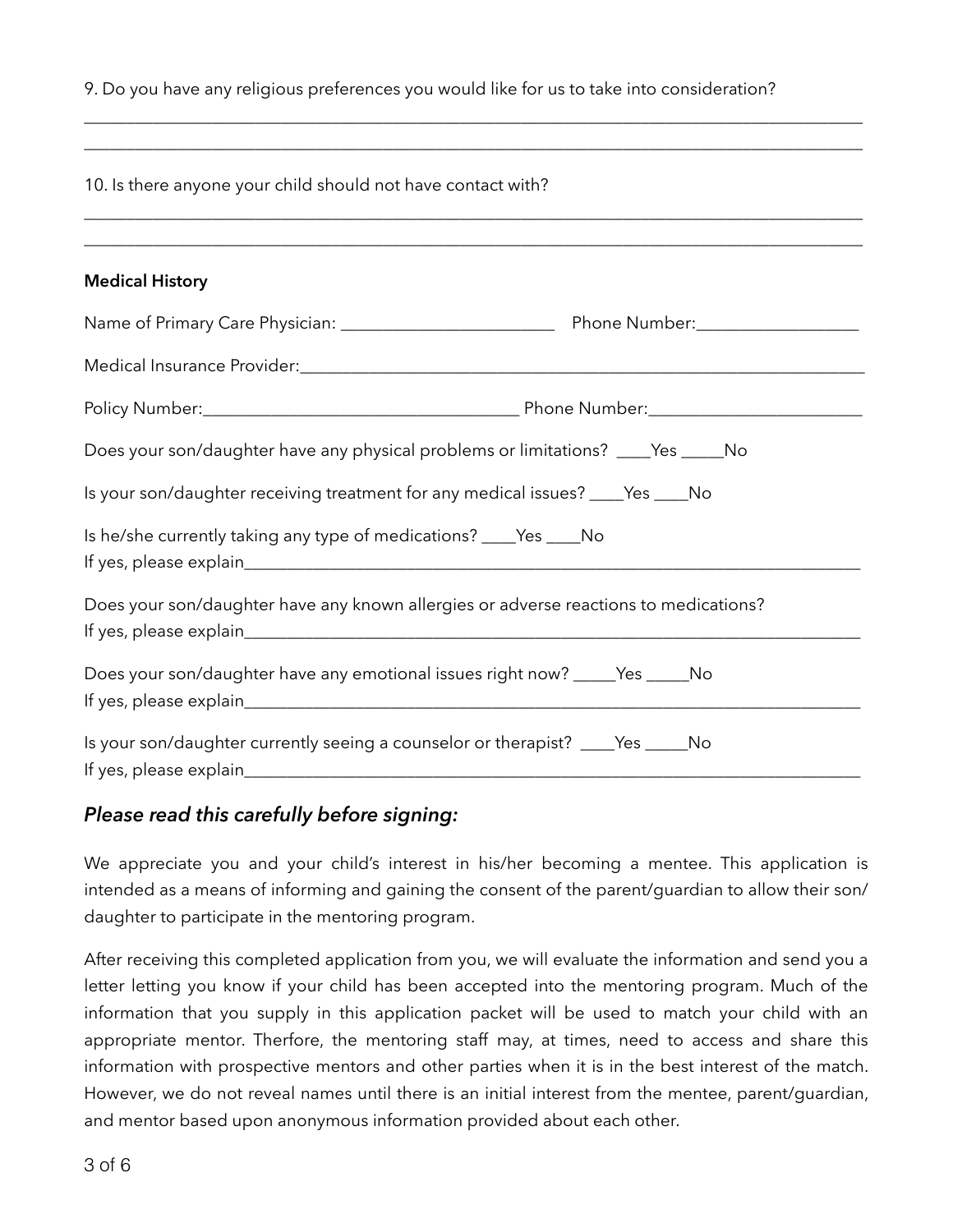9. Do you have any religious preferences you would like for us to take into consideration?

\_\_\_\_\_\_\_\_\_\_\_\_\_\_\_\_\_\_\_\_\_\_\_\_\_\_\_\_\_\_\_\_\_\_\_\_\_\_\_\_\_\_\_\_\_\_\_\_\_\_\_\_\_\_\_\_\_\_\_\_\_\_\_\_\_\_\_\_\_\_\_\_\_\_\_\_\_\_\_\_\_\_\_\_\_\_\_\_\_\_\_

| 10. Is there anyone your child should not have contact with?                                                |  |  |  |  |
|-------------------------------------------------------------------------------------------------------------|--|--|--|--|
| ,我们也不能在这里的,我们也不能在这里的,我们也不能在这里的,我们也不能不能不能不能不能不能不能不能不能不能。""我们,我们也不能不能不能不能不能不能不能不能不能<br><b>Medical History</b> |  |  |  |  |
|                                                                                                             |  |  |  |  |
|                                                                                                             |  |  |  |  |
|                                                                                                             |  |  |  |  |
|                                                                                                             |  |  |  |  |
| Does your son/daughter have any physical problems or limitations? ____Yes _____No                           |  |  |  |  |
| Is your son/daughter receiving treatment for any medical issues? ____Yes ____No                             |  |  |  |  |
| Is he/she currently taking any type of medications? ____Yes ____No                                          |  |  |  |  |
|                                                                                                             |  |  |  |  |
| Does your son/daughter have any known allergies or adverse reactions to medications?                        |  |  |  |  |
|                                                                                                             |  |  |  |  |
| Does your son/daughter have any emotional issues right now? _____Yes _____No                                |  |  |  |  |
|                                                                                                             |  |  |  |  |
| Is your son/daughter currently seeing a counselor or therapist? ____Yes _____No                             |  |  |  |  |
|                                                                                                             |  |  |  |  |

### *Please read this carefully before signing:*

We appreciate you and your child's interest in his/her becoming a mentee. This application is intended as a means of informing and gaining the consent of the parent/guardian to allow their son/ daughter to participate in the mentoring program.

After receiving this completed application from you, we will evaluate the information and send you a letter letting you know if your child has been accepted into the mentoring program. Much of the information that you supply in this application packet will be used to match your child with an appropriate mentor. Therfore, the mentoring staff may, at times, need to access and share this information with prospective mentors and other parties when it is in the best interest of the match. However, we do not reveal names until there is an initial interest from the mentee, parent/guardian, and mentor based upon anonymous information provided about each other.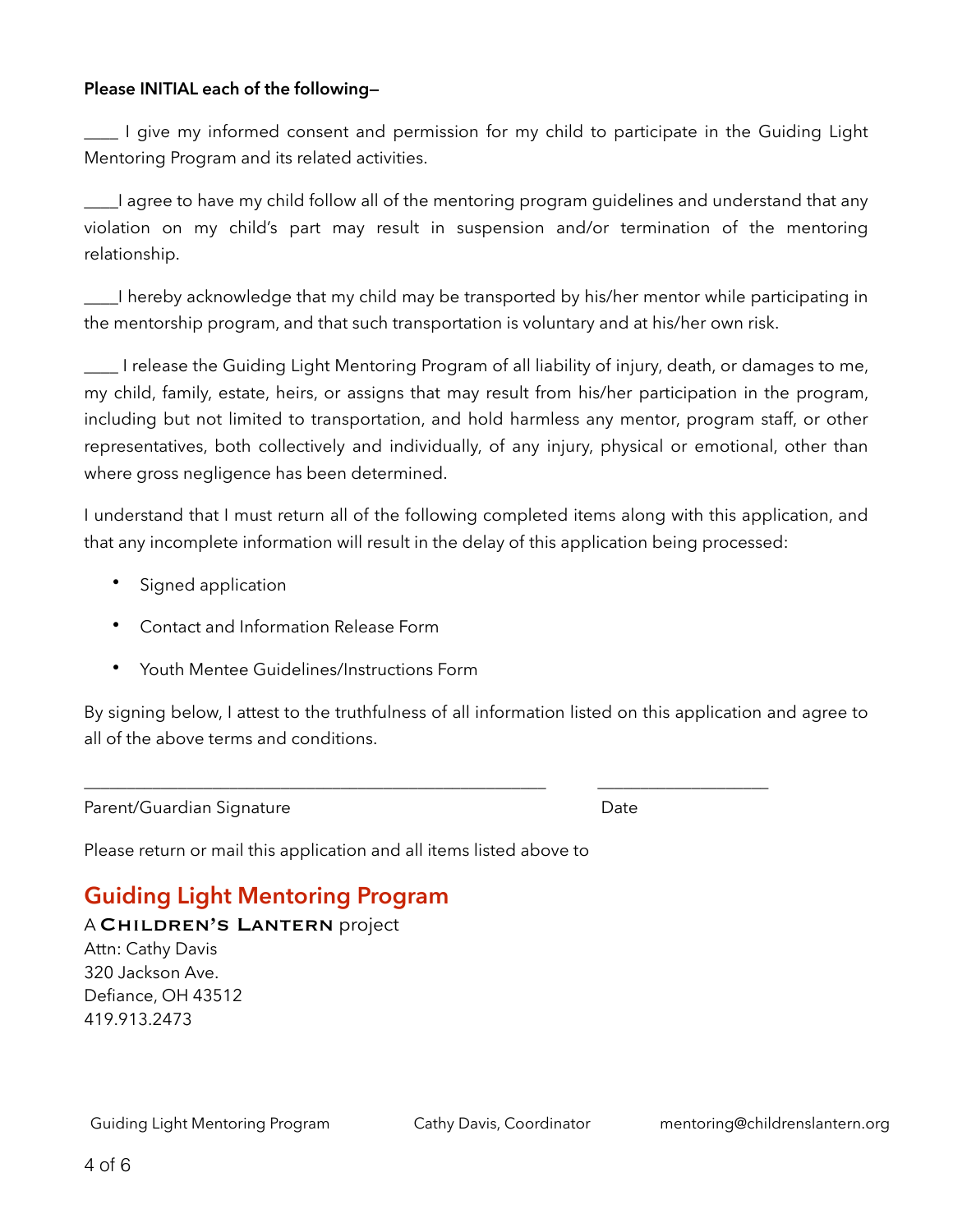#### **Please INITIAL each of the following—**

\_\_\_\_ I give my informed consent and permission for my child to participate in the Guiding Light Mentoring Program and its related activities.

\_\_\_\_I agree to have my child follow all of the mentoring program guidelines and understand that any violation on my child's part may result in suspension and/or termination of the mentoring relationship.

\_\_\_\_I hereby acknowledge that my child may be transported by his/her mentor while participating in the mentorship program, and that such transportation is voluntary and at his/her own risk.

\_\_\_\_ I release the Guiding Light Mentoring Program of all liability of injury, death, or damages to me, my child, family, estate, heirs, or assigns that may result from his/her participation in the program, including but not limited to transportation, and hold harmless any mentor, program staff, or other representatives, both collectively and individually, of any injury, physical or emotional, other than where gross negligence has been determined.

I understand that I must return all of the following completed items along with this application, and that any incomplete information will result in the delay of this application being processed:

- Signed application
- Contact and Information Release Form
- Youth Mentee Guidelines/Instructions Form

By signing below, I attest to the truthfulness of all information listed on this application and agree to all of the above terms and conditions.

\_\_\_\_\_\_\_\_\_\_\_\_\_\_\_\_\_\_\_\_\_\_\_\_\_\_\_\_\_\_\_\_\_\_\_\_\_\_\_\_\_\_\_\_\_\_\_\_\_\_\_\_\_\_ \_\_\_\_\_\_\_\_\_\_\_\_\_\_\_\_\_\_\_\_

Parent/Guardian Signature **Date** Date Date

Please return or mail this application and all items listed above to

## **Guiding Light Mentoring Program**

A Children's Lantern project

Attn: Cathy Davis 320 Jackson Ave. Defiance, OH 43512 419.913.2473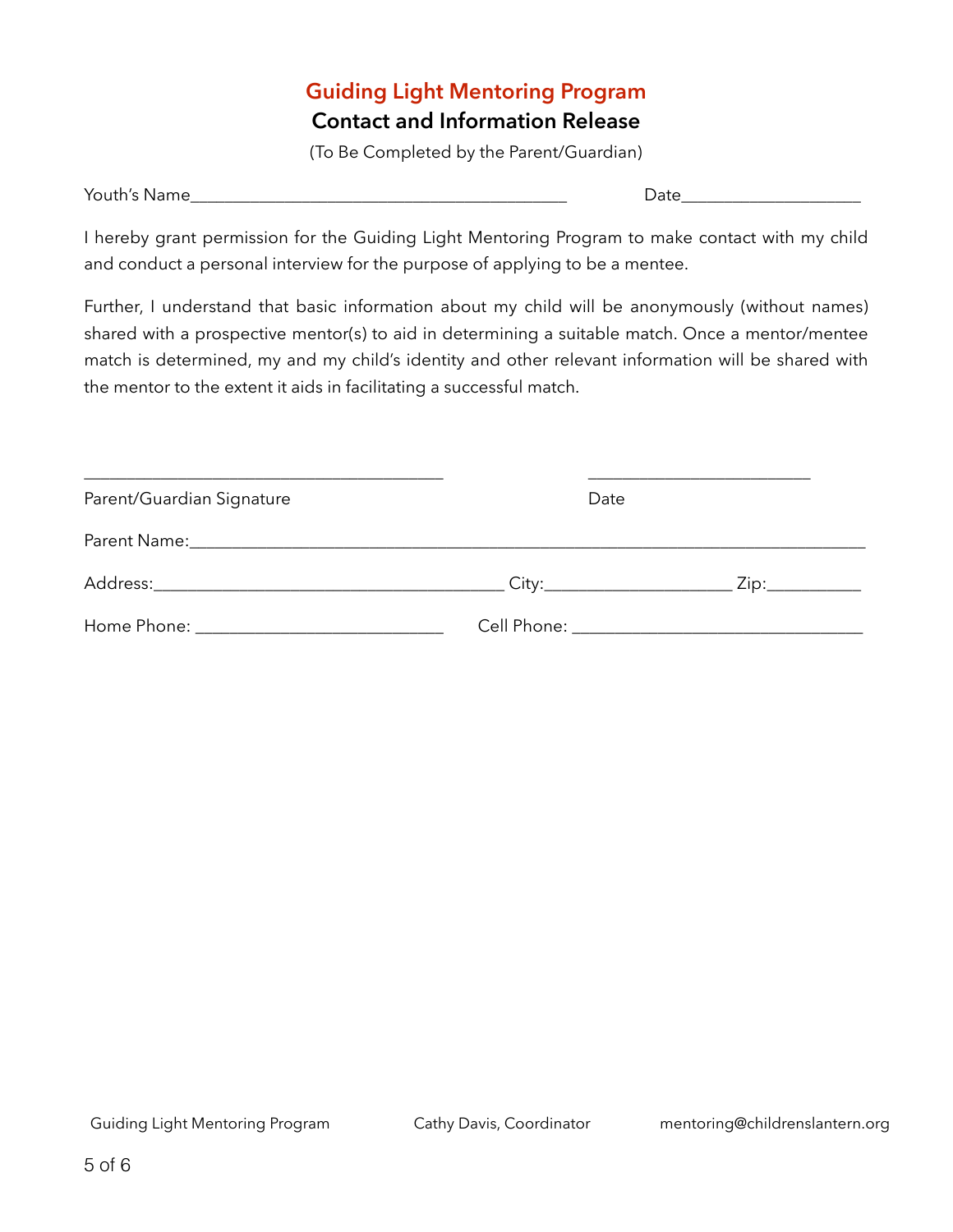## **Guiding Light Mentoring Program Contact and Information Release**

(To Be Completed by the Parent/Guardian)

| You<br>געו<br>`rn∈<br>זונונ<br>$\sim$<br>_______ | . .<br>______ |
|--------------------------------------------------|---------------|
|--------------------------------------------------|---------------|

I hereby grant permission for the Guiding Light Mentoring Program to make contact with my child and conduct a personal interview for the purpose of applying to be a mentee.

Further, I understand that basic information about my child will be anonymously (without names) shared with a prospective mentor(s) to aid in determining a suitable match. Once a mentor/mentee match is determined, my and my child's identity and other relevant information will be shared with the mentor to the extent it aids in facilitating a successful match.

| Parent/Guardian Signature | Date |                |  |
|---------------------------|------|----------------|--|
|                           |      |                |  |
|                           |      | Zip:__________ |  |
|                           |      |                |  |